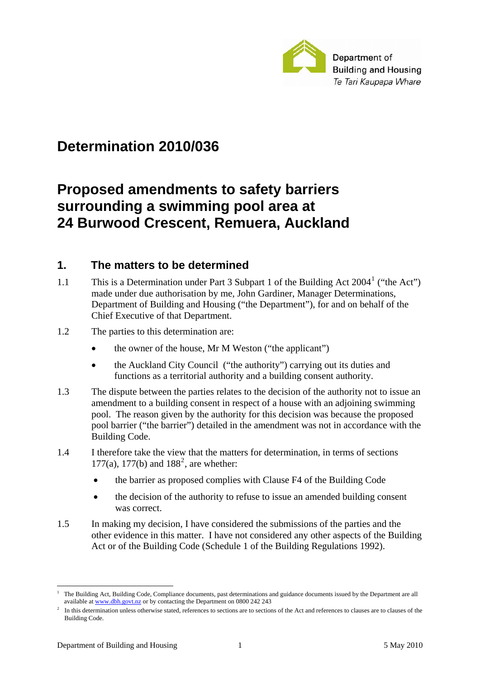

# **Determination 2010/036**

# **Proposed amendments to safety barriers surrounding a swimming pool area at 24 Burwood Crescent, Remuera, Auckland**

### **1. The matters to be determined**

[1](#page-0-0).1 This is a Determination under Part 3 Subpart 1 of the Building Act 2004<sup>1</sup> ("the Act") made under due authorisation by me, John Gardiner, Manager Determinations, Department of Building and Housing ("the Department"), for and on behalf of the Chief Executive of that Department.

#### 1.2 The parties to this determination are:

- the owner of the house, Mr M Weston ("the applicant")
- the Auckland City Council ("the authority") carrying out its duties and functions as a territorial authority and a building consent authority.
- 1.3 The dispute between the parties relates to the decision of the authority not to issue an amendment to a building consent in respect of a house with an adjoining swimming pool. The reason given by the authority for this decision was because the proposed pool barrier ("the barrier") detailed in the amendment was not in accordance with the Building Code.
- 1.4 I therefore take the view that the matters for determination, in terms of sections 177(a), 177(b) and  $188^2$  $188^2$ , are whether:
	- the barrier as proposed complies with Clause F4 of the Building Code
	- the decision of the authority to refuse to issue an amended building consent was correct.
- 1.5 In making my decision, I have considered the submissions of the parties and the other evidence in this matter. I have not considered any other aspects of the Building Act or of the Building Code (Schedule 1 of the Building Regulations 1992).

<span id="page-0-0"></span><sup>&</sup>lt;u>.</u> 1 The Building Act, Building Code, Compliance documents, past determinations and guidance documents issued by the Department are all available at [www.dbh.govt.nz](http://www.dbh.govt.nz/) or by contacting the Department on 0800 242 243

<span id="page-0-1"></span>In this determination unless otherwise stated, references to sections are to sections of the Act and references to clauses are to clauses of the Building Code.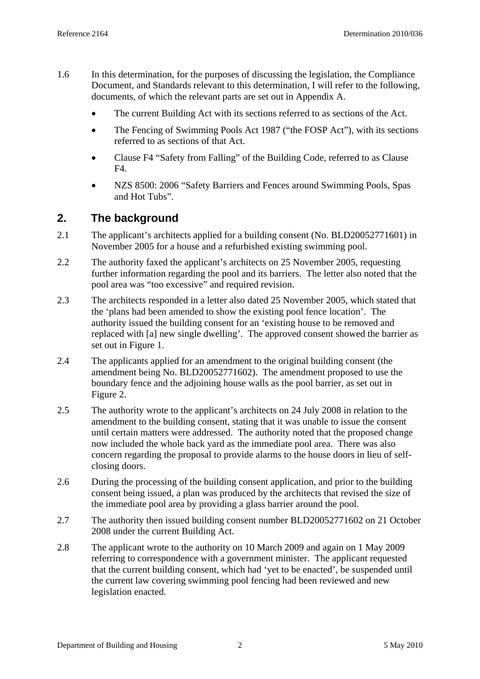- 1.6 In this determination, for the purposes of discussing the legislation, the Compliance Document, and Standards relevant to this determination, I will refer to the following, documents, of which the relevant parts are set out in Appendix A.
	- The current Building Act with its sections referred to as sections of the Act.
	- The Fencing of Swimming Pools Act 1987 ("the FOSP Act"), with its sections referred to as sections of that Act.
	- Clause F4 "Safety from Falling" of the Building Code, referred to as Clause F4.
	- NZS 8500: 2006 "Safety Barriers and Fences around Swimming Pools, Spas and Hot Tubs".

### **2. The background**

- 2.1 The applicant's architects applied for a building consent (No. BLD20052771601) in November 2005 for a house and a refurbished existing swimming pool.
- 2.2 The authority faxed the applicant's architects on 25 November 2005, requesting further information regarding the pool and its barriers. The letter also noted that the pool area was "too excessive" and required revision.
- 2.3 The architects responded in a letter also dated 25 November 2005, which stated that the 'plans had been amended to show the existing pool fence location'. The authority issued the building consent for an 'existing house to be removed and replaced with [a] new single dwelling'. The approved consent showed the barrier as set out in Figure 1.
- 2.4 The applicants applied for an amendment to the original building consent (the amendment being No. BLD20052771602). The amendment proposed to use the boundary fence and the adjoining house walls as the pool barrier, as set out in Figure 2.
- 2.5 The authority wrote to the applicant's architects on 24 July 2008 in relation to the amendment to the building consent, stating that it was unable to issue the consent until certain matters were addressed. The authority noted that the proposed change now included the whole back yard as the immediate pool area. There was also concern regarding the proposal to provide alarms to the house doors in lieu of selfclosing doors.
- 2.6 During the processing of the building consent application, and prior to the building consent being issued, a plan was produced by the architects that revised the size of the immediate pool area by providing a glass barrier around the pool.
- 2.7 The authority then issued building consent number BLD20052771602 on 21 October 2008 under the current Building Act.
- 2.8 The applicant wrote to the authority on 10 March 2009 and again on 1 May 2009 referring to correspondence with a government minister. The applicant requested that the current building consent, which had 'yet to be enacted', be suspended until the current law covering swimming pool fencing had been reviewed and new legislation enacted.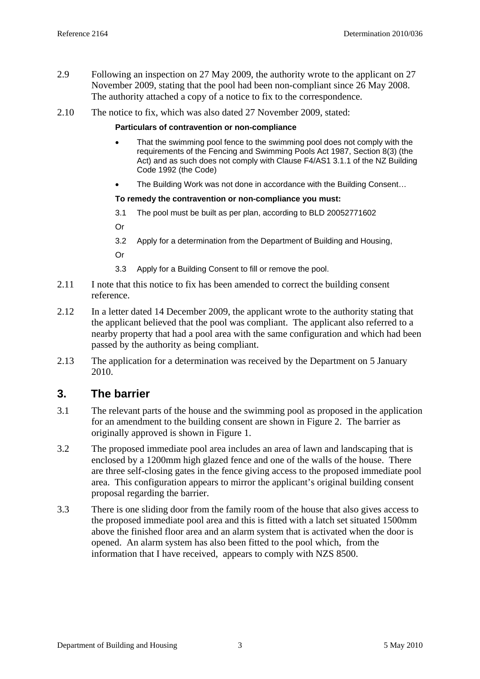- 2.9 Following an inspection on 27 May 2009, the authority wrote to the applicant on 27 November 2009, stating that the pool had been non-compliant since 26 May 2008. The authority attached a copy of a notice to fix to the correspondence.
- 2.10 The notice to fix, which was also dated 27 November 2009, stated:

#### **Particulars of contravention or non-compliance**

- That the swimming pool fence to the swimming pool does not comply with the requirements of the Fencing and Swimming Pools Act 1987, Section 8(3) (the Act) and as such does not comply with Clause F4/AS1 3.1.1 of the NZ Building Code 1992 (the Code)
- The Building Work was not done in accordance with the Building Consent...

#### **To remedy the contravention or non-compliance you must:**

- 3.1 The pool must be built as per plan, according to BLD 20052771602
- Or
- 3.2 Apply for a determination from the Department of Building and Housing,
- Or
- 3.3 Apply for a Building Consent to fill or remove the pool.
- 2.11 I note that this notice to fix has been amended to correct the building consent reference.
- 2.12 In a letter dated 14 December 2009, the applicant wrote to the authority stating that the applicant believed that the pool was compliant. The applicant also referred to a nearby property that had a pool area with the same configuration and which had been passed by the authority as being compliant.
- 2.13 The application for a determination was received by the Department on 5 January 2010.

### **3. The barrier**

- 3.1 The relevant parts of the house and the swimming pool as proposed in the application for an amendment to the building consent are shown in Figure 2. The barrier as originally approved is shown in Figure 1.
- 3.2 The proposed immediate pool area includes an area of lawn and landscaping that is enclosed by a 1200mm high glazed fence and one of the walls of the house. There are three self-closing gates in the fence giving access to the proposed immediate pool area. This configuration appears to mirror the applicant's original building consent proposal regarding the barrier.
- 3.3 There is one sliding door from the family room of the house that also gives access to the proposed immediate pool area and this is fitted with a latch set situated 1500mm above the finished floor area and an alarm system that is activated when the door is opened. An alarm system has also been fitted to the pool which, from the information that I have received, appears to comply with NZS 8500.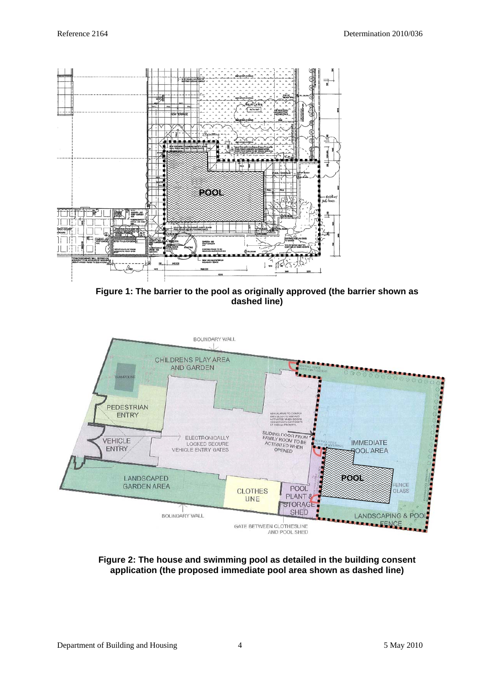

**Figure 1: The barrier to the pool as originally approved (the barrier shown as dashed line)** 



**Figure 2: The house and swimming pool as detailed in the building consent application (the proposed immediate pool area shown as dashed line)**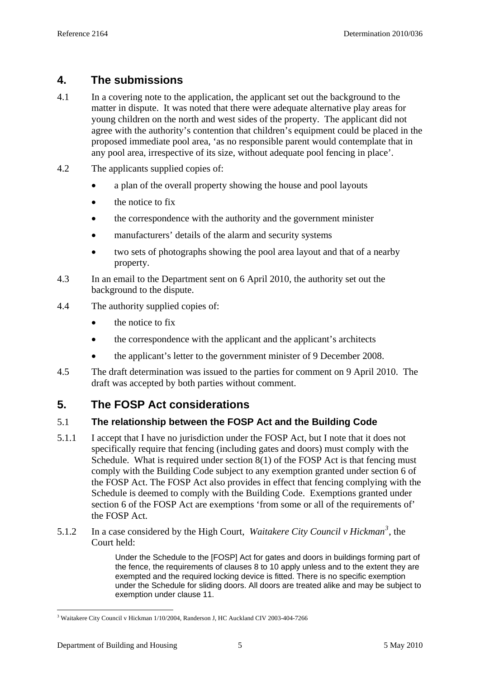## **4. The submissions**

- 4.1 In a covering note to the application, the applicant set out the background to the matter in dispute. It was noted that there were adequate alternative play areas for young children on the north and west sides of the property. The applicant did not agree with the authority's contention that children's equipment could be placed in the proposed immediate pool area, 'as no responsible parent would contemplate that in any pool area, irrespective of its size, without adequate pool fencing in place'.
- 4.2 The applicants supplied copies of:
	- a plan of the overall property showing the house and pool layouts
	- the notice to fix
	- the correspondence with the authority and the government minister
	- manufacturers' details of the alarm and security systems
	- two sets of photographs showing the pool area layout and that of a nearby property.
- 4.3 In an email to the Department sent on 6 April 2010, the authority set out the background to the dispute.
- 4.4 The authority supplied copies of:
	- the notice to fix
	- the correspondence with the applicant and the applicant's architects
	- the applicant's letter to the government minister of 9 December 2008.
- 4.5 The draft determination was issued to the parties for comment on 9 April 2010. The draft was accepted by both parties without comment.

## **5. The FOSP Act considerations**

### 5.1 **The relationship between the FOSP Act and the Building Code**

- 5.1.1 I accept that I have no jurisdiction under the FOSP Act, but I note that it does not specifically require that fencing (including gates and doors) must comply with the Schedule. What is required under section  $8(1)$  of the FOSP Act is that fencing must comply with the Building Code subject to any exemption granted under section 6 of the FOSP Act. The FOSP Act also provides in effect that fencing complying with the Schedule is deemed to comply with the Building Code. Exemptions granted under section 6 of the FOSP Act are exemptions 'from some or all of the requirements of' the FOSP Act.
- 5.1.2 In a case considered by the High Court, *Waitakere City Council v Hickman[3](#page-4-0)* , the Court held:

Under the Schedule to the [FOSP] Act for gates and doors in buildings forming part of the fence, the requirements of clauses 8 to 10 apply unless and to the extent they are exempted and the required locking device is fitted. There is no specific exemption under the Schedule for sliding doors. All doors are treated alike and may be subject to exemption under clause 11.

<span id="page-4-0"></span><sup>&</sup>lt;u>.</u> <sup>3</sup> Waitakere City Council v Hickman 1/10/2004, Randerson J, HC Auckland CIV 2003-404-7266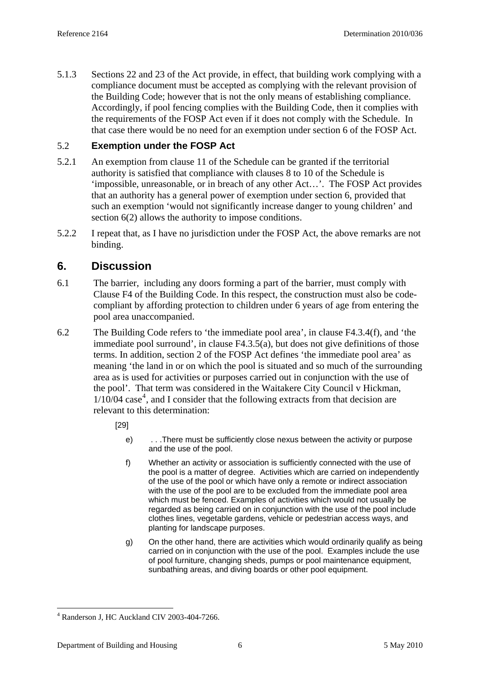5.1.3 Sections 22 and 23 of the Act provide, in effect, that building work complying with a compliance document must be accepted as complying with the relevant provision of the Building Code; however that is not the only means of establishing compliance. Accordingly, if pool fencing complies with the Building Code, then it complies with the requirements of the FOSP Act even if it does not comply with the Schedule. In that case there would be no need for an exemption under section 6 of the FOSP Act.

### 5.2 **Exemption under the FOSP Act**

- 5.2.1 An exemption from clause 11 of the Schedule can be granted if the territorial authority is satisfied that compliance with clauses 8 to 10 of the Schedule is 'impossible, unreasonable, or in breach of any other Act…'. The FOSP Act provides that an authority has a general power of exemption under section 6, provided that such an exemption 'would not significantly increase danger to young children' and section 6(2) allows the authority to impose conditions.
- 5.2.2 I repeat that, as I have no jurisdiction under the FOSP Act, the above remarks are not binding.

### **6. Discussion**

- 6.1 The barrier, including any doors forming a part of the barrier, must comply with Clause F4 of the Building Code. In this respect, the construction must also be codecompliant by affording protection to children under 6 years of age from entering the pool area unaccompanied.
- 6.2 The Building Code refers to 'the immediate pool area', in clause F4.3.4(f), and 'the immediate pool surround', in clause F4.3.5(a), but does not give definitions of those terms. In addition, section 2 of the FOSP Act defines 'the immediate pool area' as meaning 'the land in or on which the pool is situated and so much of the surrounding area as is used for activities or purposes carried out in conjunction with the use of the pool'. That term was considered in the Waitakere City Council v Hickman,  $1/10/04$  $1/10/04$  case<sup>4</sup>, and I consider that the following extracts from that decision are relevant to this determination:

[29]

- e) . . .There must be sufficiently close nexus between the activity or purpose and the use of the pool.
- f) Whether an activity or association is sufficiently connected with the use of the pool is a matter of degree. Activities which are carried on independently of the use of the pool or which have only a remote or indirect association with the use of the pool are to be excluded from the immediate pool area which must be fenced. Examples of activities which would not usually be regarded as being carried on in conjunction with the use of the pool include clothes lines, vegetable gardens, vehicle or pedestrian access ways, and planting for landscape purposes.
- g) On the other hand, there are activities which would ordinarily qualify as being carried on in conjunction with the use of the pool. Examples include the use of pool furniture, changing sheds, pumps or pool maintenance equipment, sunbathing areas, and diving boards or other pool equipment.

<u>.</u>

<span id="page-5-0"></span><sup>4</sup> Randerson J, HC Auckland CIV 2003-404-7266.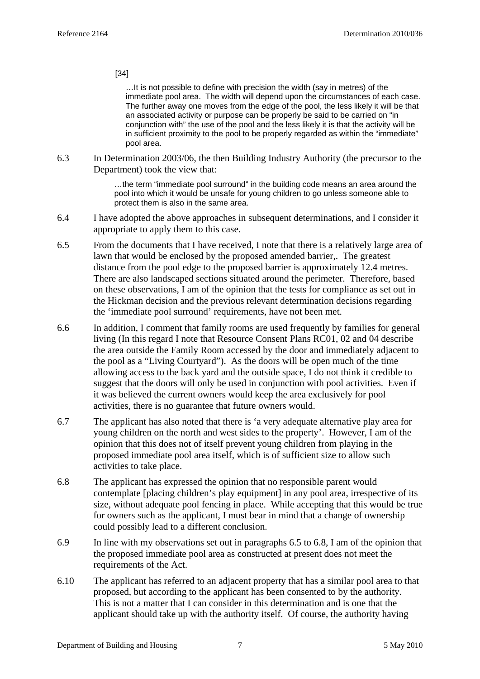[34]

…It is not possible to define with precision the width (say in metres) of the immediate pool area. The width will depend upon the circumstances of each case. The further away one moves from the edge of the pool, the less likely it will be that an associated activity or purpose can be properly be said to be carried on "in conjunction with" the use of the pool and the less likely it is that the activity will be in sufficient proximity to the pool to be properly regarded as within the "immediate" pool area.

6.3 In Determination 2003/06, the then Building Industry Authority (the precursor to the Department) took the view that:

> …the term "immediate pool surround" in the building code means an area around the pool into which it would be unsafe for young children to go unless someone able to protect them is also in the same area.

- 6.4 I have adopted the above approaches in subsequent determinations, and I consider it appropriate to apply them to this case.
- 6.5 From the documents that I have received, I note that there is a relatively large area of lawn that would be enclosed by the proposed amended barrier,. The greatest distance from the pool edge to the proposed barrier is approximately 12.4 metres. There are also landscaped sections situated around the perimeter. Therefore, based on these observations, I am of the opinion that the tests for compliance as set out in the Hickman decision and the previous relevant determination decisions regarding the 'immediate pool surround' requirements, have not been met.
- 6.6 In addition, I comment that family rooms are used frequently by families for general living (In this regard I note that Resource Consent Plans RC01, 02 and 04 describe the area outside the Family Room accessed by the door and immediately adjacent to the pool as a "Living Courtyard"). As the doors will be open much of the time allowing access to the back yard and the outside space, I do not think it credible to suggest that the doors will only be used in conjunction with pool activities. Even if it was believed the current owners would keep the area exclusively for pool activities, there is no guarantee that future owners would.
- 6.7 The applicant has also noted that there is 'a very adequate alternative play area for young children on the north and west sides to the property'. However, I am of the opinion that this does not of itself prevent young children from playing in the proposed immediate pool area itself, which is of sufficient size to allow such activities to take place.
- 6.8 The applicant has expressed the opinion that no responsible parent would contemplate [placing children's play equipment] in any pool area, irrespective of its size, without adequate pool fencing in place. While accepting that this would be true for owners such as the applicant, I must bear in mind that a change of ownership could possibly lead to a different conclusion.
- 6.9 In line with my observations set out in paragraphs 6.5 to 6.8, I am of the opinion that the proposed immediate pool area as constructed at present does not meet the requirements of the Act.
- 6.10 The applicant has referred to an adjacent property that has a similar pool area to that proposed, but according to the applicant has been consented to by the authority. This is not a matter that I can consider in this determination and is one that the applicant should take up with the authority itself. Of course, the authority having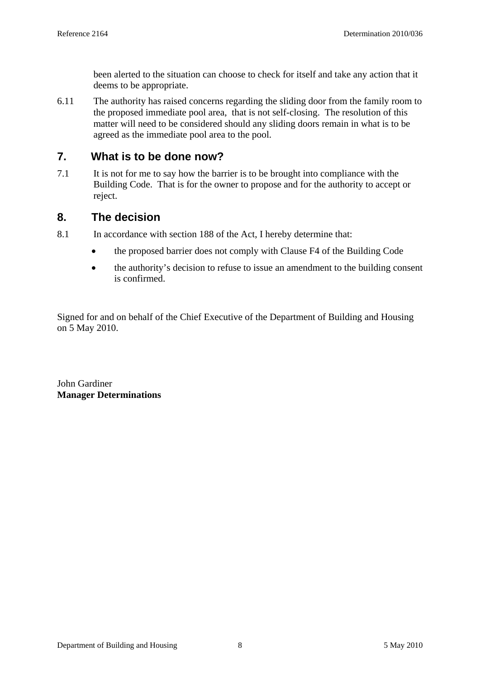been alerted to the situation can choose to check for itself and take any action that it deems to be appropriate.

6.11 The authority has raised concerns regarding the sliding door from the family room to the proposed immediate pool area, that is not self-closing. The resolution of this matter will need to be considered should any sliding doors remain in what is to be agreed as the immediate pool area to the pool.

### **7. What is to be done now?**

7.1 It is not for me to say how the barrier is to be brought into compliance with the Building Code. That is for the owner to propose and for the authority to accept or reject.

### **8. The decision**

- 8.1 In accordance with section 188 of the Act, I hereby determine that:
	- the proposed barrier does not comply with Clause F4 of the Building Code
	- the authority's decision to refuse to issue an amendment to the building consent is confirmed.

Signed for and on behalf of the Chief Executive of the Department of Building and Housing on 5 May 2010.

John Gardiner **Manager Determinations**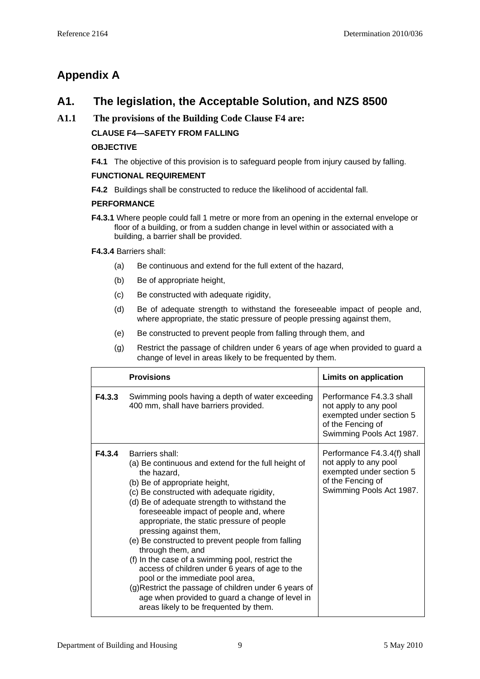# **Appendix A**

# **A1. The legislation, the Acceptable Solution, and NZS 8500**

### **A1.1 The provisions of the Building Code Clause F4 are:**

### **CLAUSE F4—SAFETY FROM FALLING**

#### **OBJECTIVE**

**F4.1** The objective of this provision is to safeguard people from injury caused by falling.

#### **FUNCTIONAL REQUIREMENT**

**F4.2** Buildings shall be constructed to reduce the likelihood of accidental fall.

#### **PERFORMANCE**

**F4.3.1** Where people could fall 1 metre or more from an opening in the external envelope or floor of a building, or from a sudden change in level within or associated with a building, a barrier shall be provided.

**F4.3.4** Barriers shall:

- (a) Be continuous and extend for the full extent of the hazard,
- (b) Be of appropriate height,
- (c) Be constructed with adequate rigidity,
- (d) Be of adequate strength to withstand the foreseeable impact of people and, where appropriate, the static pressure of people pressing against them,
- (e) Be constructed to prevent people from falling through them, and
- (g) Restrict the passage of children under 6 years of age when provided to guard a change of level in areas likely to be frequented by them.

|        | <b>Provisions</b>                                                                                                                                                                                                                                                                                                                                                                                                                                                                                                                                                                                                                                                                                                 | <b>Limits on application</b>                                                                                                      |
|--------|-------------------------------------------------------------------------------------------------------------------------------------------------------------------------------------------------------------------------------------------------------------------------------------------------------------------------------------------------------------------------------------------------------------------------------------------------------------------------------------------------------------------------------------------------------------------------------------------------------------------------------------------------------------------------------------------------------------------|-----------------------------------------------------------------------------------------------------------------------------------|
| F4.3.3 | Swimming pools having a depth of water exceeding<br>400 mm, shall have barriers provided.                                                                                                                                                                                                                                                                                                                                                                                                                                                                                                                                                                                                                         | Performance F4.3.3 shall<br>not apply to any pool<br>exempted under section 5<br>of the Fencing of<br>Swimming Pools Act 1987.    |
| F4.3.4 | Barriers shall:<br>(a) Be continuous and extend for the full height of<br>the hazard,<br>(b) Be of appropriate height,<br>(c) Be constructed with adequate rigidity,<br>(d) Be of adequate strength to withstand the<br>foreseeable impact of people and, where<br>appropriate, the static pressure of people<br>pressing against them,<br>(e) Be constructed to prevent people from falling<br>through them, and<br>(f) In the case of a swimming pool, restrict the<br>access of children under 6 years of age to the<br>pool or the immediate pool area,<br>(g) Restrict the passage of children under 6 years of<br>age when provided to guard a change of level in<br>areas likely to be frequented by them. | Performance F4.3.4(f) shall<br>not apply to any pool<br>exempted under section 5<br>of the Fencing of<br>Swimming Pools Act 1987. |